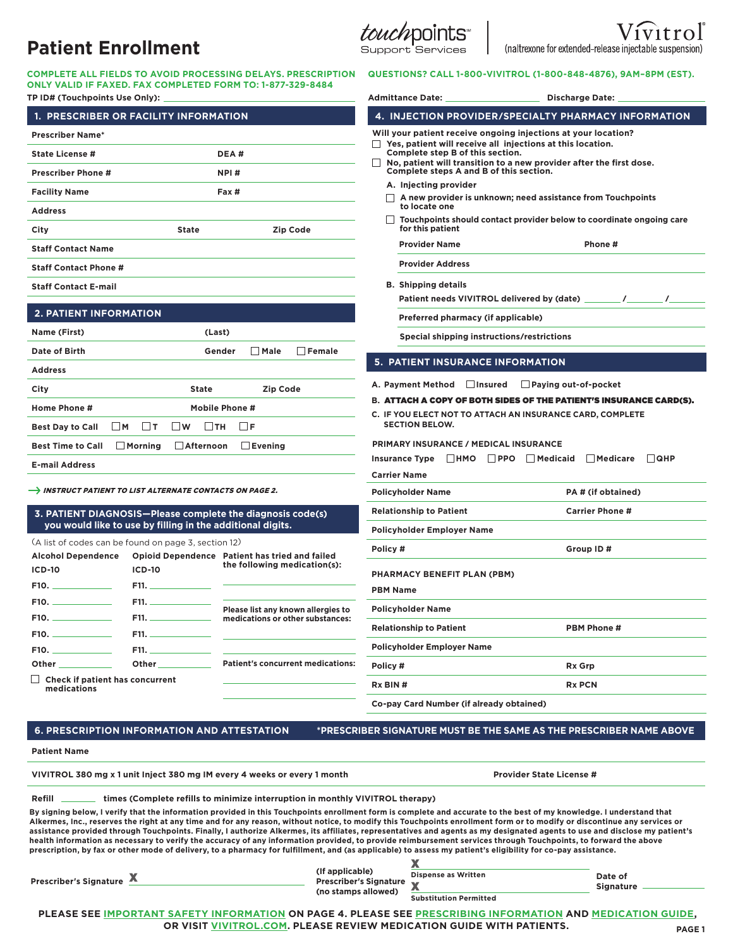| COMPLETE ALL FIELDS TO AVOID PROCESSING DELAYS. PRESCRIPTION |
|--------------------------------------------------------------|
| ONLY VALID IF FAXED. FAX COMPLETED FORM TO: 1-877-329-8484   |
| TD ID# (Teuchneinte Ilee Only):                              |

| 1. PRESCRIBER OR FACILITY INFORMATION |                     |                  |                 |                 |
|---------------------------------------|---------------------|------------------|-----------------|-----------------|
| <b>Prescriber Name*</b>               |                     |                  |                 |                 |
| State License #                       |                     | DEA#             |                 |                 |
| Prescriber Phone #                    |                     | NPI#             |                 |                 |
| <b>Facility Name</b>                  |                     | Fax #            |                 |                 |
| <b>Address</b>                        |                     |                  |                 |                 |
| City                                  |                     | <b>State</b>     |                 | <b>Zip Code</b> |
| <b>Staff Contact Name</b>             |                     |                  |                 |                 |
| <b>Staff Contact Phone #</b>          |                     |                  |                 |                 |
|                                       |                     |                  |                 |                 |
| <b>Staff Contact E-mail</b>           |                     |                  |                 |                 |
| <b>2. PATIENT INFORMATION</b>         |                     |                  |                 |                 |
| Name (First)                          |                     | (Last)           |                 |                 |
| Date of Birth                         |                     | Gender           | Male            | Female          |
| <b>Address</b>                        |                     |                  |                 |                 |
| City                                  |                     | <b>State</b>     | <b>Zip Code</b> |                 |
| Home Phone #                          |                     | Mobile Phone #   |                 |                 |
| <b>Best Day to Call</b>               | $\square$ M<br>l It | Птн<br>l Iw      | ∏F              |                 |
| <b>Best Time to Call</b>              | Morning             | <b>Afternoon</b> | Evening         |                 |

#### **3. PATIENT DIAGNOSIS—Please complete the diagnosis code(s) you would like to use by filling in the additional digits.**

| <b>Alcohol Dependence</b>                                                                                                                                                                                                      |                           | Opioid Dependence Patient has tried and failed                         | POIK       |
|--------------------------------------------------------------------------------------------------------------------------------------------------------------------------------------------------------------------------------|---------------------------|------------------------------------------------------------------------|------------|
| <b>ICD-10</b>                                                                                                                                                                                                                  | <b>ICD-10</b>             | the following medication(s):                                           | PHA        |
|                                                                                                                                                                                                                                | $F11.$ ______________     |                                                                        | <b>PBM</b> |
|                                                                                                                                                                                                                                | F11.                      |                                                                        | Polic      |
|                                                                                                                                                                                                                                | $F11.$ <b>Example 2.1</b> | Please list any known allergies to<br>medications or other substances: |            |
|                                                                                                                                                                                                                                |                           |                                                                        | Rela       |
|                                                                                                                                                                                                                                |                           |                                                                        | Polic      |
| Other the contract of the contract of the contract of the contract of the contract of the contract of the contract of the contract of the contract of the contract of the contract of the contract of the contract of the cont |                           | <b>Patient's concurrent medications:</b>                               | Polic      |
| $\Box$ Check if patient has concurrent<br>medications                                                                                                                                                                          |                           |                                                                        | Rx B       |

 **6. PRESCRIPTION INFORMATION AND ATTESTATION \*PRESCRIBER SIGNATURE MUST BE THE SAME AS THE PRESCRIBER NAME ABOVE**

#### **Patient Name**

VIVITROL 380 mg x 1 unit Inject 380 mg IM every 4 weeks or every 1 month Provider State License #

| Refill | times (Complete refills to minimize interruption in monthly VIVITROL therapy) |  |
|--------|-------------------------------------------------------------------------------|--|

**By signing below, I verify that the information provided in this Touchpoints enrollment form is complete and accurate to the best of my knowledge. I understand that Alkermes, Inc., reserves the right at any time and for any reason, without notice, to modify this Touchpoints enrollment form or to modify or discontinue any services or assistance provided through Touchpoints. Finally, I authorize Alkermes, its affiliates, representatives and agents as my designated agents to use and disclose my patient's**  health information as necessary to verify the accuracy of any information provided, to provide reimbursement services through Touchpoints, to forward the above **prescription, by fax or other mode of delivery, to a pharmacy for fulfillment, and (as applicable) to assess my patient's eligibility for co-pay assistance.**

| Prescriber's Signature |  | (If applicable)<br>Prescriber's Signature<br>(no stamps allowed) | <b>Dispense as Written</b><br>$\overline{\phantom{a}}$<br><b>Substitution Permitted</b> | Date of<br><b>Signature</b> |
|------------------------|--|------------------------------------------------------------------|-----------------------------------------------------------------------------------------|-----------------------------|
|------------------------|--|------------------------------------------------------------------|-----------------------------------------------------------------------------------------|-----------------------------|

**PLEASE SEE [IMPORTANT SAFETY INFORMATION O](#page-3-0)N PAGE 4. PLEASE SE[E PRESCRIBING INFORMATION A](http://vivitrol.com/Content/pdf/prescribing_info.pdf)N[D MEDICATION GUIDE,](http://vivitrol.com/Content/pdf/medication_guide.pdf) OR VISIT[VIVITROL.COM](http://www.vivitrol.com/)[.](http://vivitrol.com/) PLEASE REVIEW MEDICATION GUIDE WITH PATIENTS.**

**PAGE 1**

# **QUESTIONS? CALL 1-800-VIVITROL (1-800-848-4876), 9AM–8PM (EST).**

Support Services

| TP ID# (Touchpoints Use Only):                                                    |                                                            | ONLY VALID IF FAXED. FAX COMPLETED FORM TO: 1-877-329-8484 | <b>Admittance Date:</b>                                                                                                                                                                                          | <b>Discharge Date:</b>                                                                                                                 |  |  |  |
|-----------------------------------------------------------------------------------|------------------------------------------------------------|------------------------------------------------------------|------------------------------------------------------------------------------------------------------------------------------------------------------------------------------------------------------------------|----------------------------------------------------------------------------------------------------------------------------------------|--|--|--|
| 1. PRESCRIBER OR FACILITY INFORMATION                                             |                                                            |                                                            | <b>4. INJECTION PROVIDER/SPECIALTY PHARMACY INFORMATION</b>                                                                                                                                                      |                                                                                                                                        |  |  |  |
| <b>Prescriber Name*</b>                                                           |                                                            |                                                            |                                                                                                                                                                                                                  | Will your patient receive ongoing injections at your location?                                                                         |  |  |  |
| DEA#<br><b>State License #</b>                                                    |                                                            |                                                            | Yes, patient will receive all injections at this location.<br>Complete step B of this section.<br>No, patient will transition to a new provider after the first dose.<br>Complete steps A and B of this section. |                                                                                                                                        |  |  |  |
| <b>Prescriber Phone #</b><br>NPI#                                                 |                                                            |                                                            |                                                                                                                                                                                                                  |                                                                                                                                        |  |  |  |
| <b>Facility Name</b>                                                              |                                                            | Fax #                                                      | A. Injecting provider<br>$\Box$ A new provider is unknown; need assistance from Touchpoints                                                                                                                      |                                                                                                                                        |  |  |  |
| <b>Address</b>                                                                    |                                                            |                                                            | to locate one                                                                                                                                                                                                    |                                                                                                                                        |  |  |  |
| City                                                                              | <b>State</b>                                               | <b>Zip Code</b>                                            | for this patient                                                                                                                                                                                                 | Touchpoints should contact provider below to coordinate ongoing care                                                                   |  |  |  |
| <b>Staff Contact Name</b>                                                         |                                                            |                                                            | <b>Provider Name</b>                                                                                                                                                                                             | Phone #                                                                                                                                |  |  |  |
| <b>Staff Contact Phone #</b>                                                      |                                                            |                                                            | <b>Provider Address</b>                                                                                                                                                                                          |                                                                                                                                        |  |  |  |
| <b>Staff Contact E-mail</b>                                                       |                                                            |                                                            | <b>B.</b> Shipping details                                                                                                                                                                                       |                                                                                                                                        |  |  |  |
|                                                                                   |                                                            |                                                            |                                                                                                                                                                                                                  | Patient needs VIVITROL delivered by (date) _<br>$\frac{1}{\sqrt{2}}$                                                                   |  |  |  |
| <b>2. PATIENT INFORMATION</b>                                                     |                                                            |                                                            | Preferred pharmacy (if applicable)                                                                                                                                                                               |                                                                                                                                        |  |  |  |
| Name (First)                                                                      | (Last)                                                     |                                                            | Special shipping instructions/restrictions                                                                                                                                                                       |                                                                                                                                        |  |  |  |
| Date of Birth                                                                     |                                                            | $\Box$ Male<br>$\Box$ Female<br>Gender                     | <b>5. PATIENT INSURANCE INFORMATION</b>                                                                                                                                                                          |                                                                                                                                        |  |  |  |
| <b>Address</b>                                                                    |                                                            |                                                            |                                                                                                                                                                                                                  |                                                                                                                                        |  |  |  |
| City                                                                              | <b>State</b>                                               | <b>Zip Code</b>                                            | A. Payment Method<br>$\Box$ Insured                                                                                                                                                                              | Paying out-of-pocket                                                                                                                   |  |  |  |
| Home Phone #                                                                      |                                                            | Mobile Phone #                                             |                                                                                                                                                                                                                  | B. ATTACH A COPY OF BOTH SIDES OF THE PATIENT'S INSURANCE CARD(S).<br><b>C. IF YOU ELECT NOT TO ATTACH AN INSURANCE CARD, COMPLETE</b> |  |  |  |
| $\Box$ M<br><b>Best Day to Call</b>                                               | $\Box$ t<br>$\square$ W<br>$\Box$ TH                       | <b>I</b> F                                                 | <b>SECTION BELOW.</b>                                                                                                                                                                                            |                                                                                                                                        |  |  |  |
| <b>Best Time to Call</b>                                                          | $\Box$ Afternoon<br>$\Box$ Morning                         | $\Box$ Evening                                             | <b>PRIMARY INSURANCE / MEDICAL INSURANCE</b>                                                                                                                                                                     |                                                                                                                                        |  |  |  |
| <b>E-mail Address</b>                                                             |                                                            |                                                            | <b>Insurance Type</b>                                                                                                                                                                                            | $\Box$ QHP<br>HMO PPO Medicaid<br>    Medicare                                                                                         |  |  |  |
|                                                                                   |                                                            |                                                            | <b>Carrier Name</b>                                                                                                                                                                                              |                                                                                                                                        |  |  |  |
| $\rightarrow$ INSTRUCT PATIENT TO LIST ALTERNATE CONTACTS ON PAGE 2.              |                                                            |                                                            | <b>Policyholder Name</b>                                                                                                                                                                                         | PA# (if obtained)                                                                                                                      |  |  |  |
|                                                                                   |                                                            | 3. PATIENT DIAGNOSIS—Please complete the diagnosis code(s) | <b>Relationship to Patient</b>                                                                                                                                                                                   | <b>Carrier Phone #</b>                                                                                                                 |  |  |  |
|                                                                                   | you would like to use by filling in the additional digits. |                                                            | Policyholder Employer Name                                                                                                                                                                                       |                                                                                                                                        |  |  |  |
| (A list of codes can be found on page 3, section 12)<br><b>Alcohol Dependence</b> |                                                            | Opioid Dependence Patient has tried and failed             | Policy#                                                                                                                                                                                                          | Group ID#                                                                                                                              |  |  |  |
| <b>ICD-10</b>                                                                     | <b>ICD-10</b>                                              | the following medication(s):                               | PHARMACY BENEFIT PLAN (PBM)                                                                                                                                                                                      |                                                                                                                                        |  |  |  |
| F10.                                                                              | F11.                                                       |                                                            | <b>PBM Name</b>                                                                                                                                                                                                  |                                                                                                                                        |  |  |  |
| F10.                                                                              | F11.                                                       | Please list any known allergies to                         | <b>Policyholder Name</b>                                                                                                                                                                                         |                                                                                                                                        |  |  |  |
| $F10.$ $\_\_$                                                                     | F11.                                                       | medications or other substances:                           | <b>Relationship to Patient</b>                                                                                                                                                                                   | PBM Phone #                                                                                                                            |  |  |  |
| F10.                                                                              | F11. —                                                     |                                                            | <b>Policyholder Employer Name</b>                                                                                                                                                                                |                                                                                                                                        |  |  |  |
| F10.                                                                              | F11. _______________<br>Other__________                    | <b>Patient's concurrent medications:</b>                   |                                                                                                                                                                                                                  |                                                                                                                                        |  |  |  |
| $\Box$ Check if patient has concurrent                                            |                                                            |                                                            | Policy #<br>Rx Grp                                                                                                                                                                                               |                                                                                                                                        |  |  |  |
| medications                                                                       |                                                            |                                                            | Rx BIN#<br>Co-pay Card Number (if already obtained)                                                                                                                                                              | <b>Rx PCN</b>                                                                                                                          |  |  |  |
|                                                                                   |                                                            |                                                            |                                                                                                                                                                                                                  |                                                                                                                                        |  |  |  |

(naltrexone for extended-release injectable suspension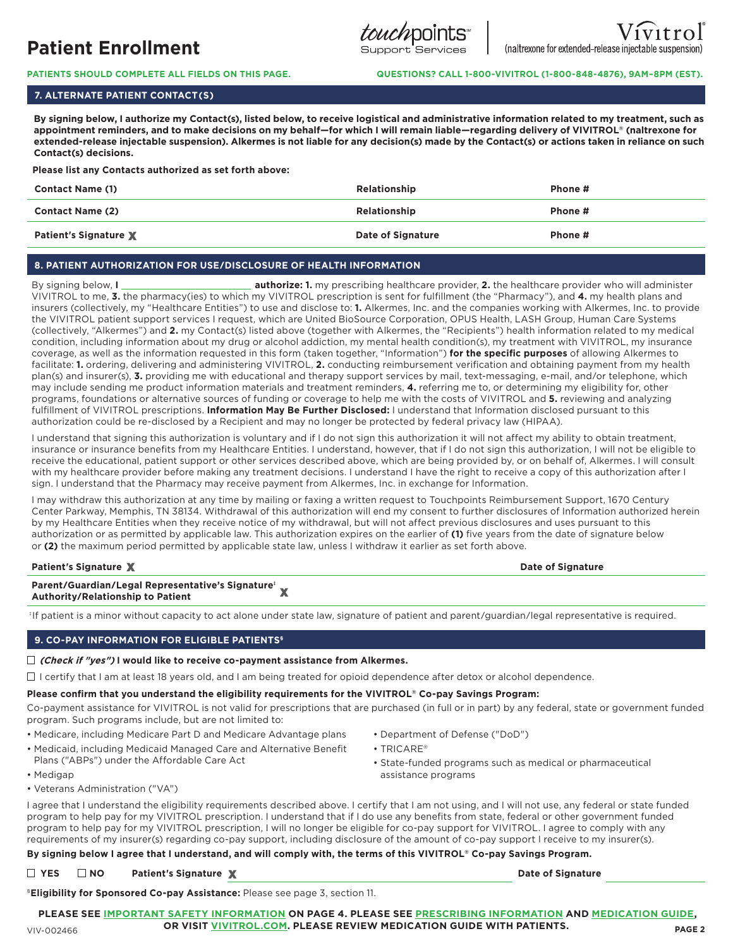

**PATIENTS SHOULD COMPLETE ALL FIELDS ON THIS PAGE. QUESTIONS? CALL 1-800-VIVITROL (1-800-848-4876), 9AM–8PM (EST).**

# **7. ALTERNATE PATIENT CONTACT(S)**

 **By signing below, I authorize my Contact(s), listed below, to receive logistical and administrative information related to my treatment, such as appointment reminders, and to make decisions on my behalf—for which I will remain liable—regarding delivery of VIVITROL® (naltrexone for extended-release injectable suspension). Alkermes is not liable for any decision(s) made by the Contact(s) or actions taken in reliance on such Contact(s) decisions.**

 **Please list any Contacts authorized as set forth above:**

| <b>Contact Name (1)</b>      | Relationship      | Phone # |
|------------------------------|-------------------|---------|
| <b>Contact Name (2)</b>      | Relationship      | Phone # |
| <b>Patient's Signature X</b> | Date of Signature | Phone # |

# **8. PATIENT AUTHORIZATION FOR USE/DISCLOSURE OF HEALTH INFORMATION**

By signing below, **I authorize: 1.** my prescribing healthcare provider, **2.** the healthcare provider who will administer VIVITROL to me, **3.** the pharmacy(ies) to which my VIVITROL prescription is sent for fulfillment (the "Pharmacy"), and **4.** my health plans and insurers (collectively, my "Healthcare Entities") to use and disclose to: **1.** Alkermes, Inc. and the companies working with Alkermes, Inc. to provide the VIVITROL patient support services I request, which are United BioSource Corporation, OPUS Health, LASH Group, Human Care Systems (collectively, "Alkermes") and **2.** my Contact(s) listed above (together with Alkermes, the "Recipients") health information related to my medical condition, including information about my drug or alcohol addiction, my mental health condition(s), my treatment with VIVITROL, my insurance coverage, as well as the information requested in this form (taken together, "Information") **for the specific purposes** of allowing Alkermes to facilitate: **1.** ordering, delivering and administering VIVITROL, **2.** conducting reimbursement verification and obtaining payment from my health plan(s) and insurer(s), **3.** providing me with educational and therapy support services by mail, text-messaging, e-mail, and/or telephone, which may include sending me product information materials and treatment reminders, **4.** referring me to, or determining my eligibility for, other programs, foundations or alternative sources of funding or coverage to help me with the costs of VIVITROL and **5.** reviewing and analyzing fulfillment of VIVITROL prescriptions. **Information May Be Further Disclosed:** I understand that Information disclosed pursuant to this authorization could be re-disclosed by a Recipient and may no longer be protected by federal privacy law (HIPAA).

I understand that signing this authorization is voluntary and if I do not sign this authorization it will not affect my ability to obtain treatment, insurance or insurance benefits from my Healthcare Entities. I understand, however, that if I do not sign this authorization, I will not be eligible to receive the educational, patient support or other services described above, which are being provided by, or on behalf of, Alkermes. I will consult with my healthcare provider before making any treatment decisions. I understand I have the right to receive a copy of this authorization after I sign. I understand that the Pharmacy may receive payment from Alkermes, Inc. in exchange for Information.

I may withdraw this authorization at any time by mailing or faxing a written request to Touchpoints Reimbursement Support, 1670 Century Center Parkway, Memphis, TN 38134. Withdrawal of this authorization will end my consent to further disclosures of Information authorized herein by my Healthcare Entities when they receive notice of my withdrawal, but will not affect previous disclosures and uses pursuant to this authorization or as permitted by applicable law. This authorization expires on the earlier of **(1)** five years from the date of signature below or **(2)** the maximum period permitted by applicable state law, unless I withdraw it earlier as set forth above.

**Patient's Signature X** and the second control of Signature of Signature of Signature of Signature of Signature of Signature of Signature of Signature of Signature of Signature of Signature of Signature of Signature of Sig

| Parent/Guardian/Legal Representative's Signature' w |   |
|-----------------------------------------------------|---|
| Authority/Relationship to Patient                   | A |

‡ If patient is a minor without capacity to act alone under state law, signature of patient and parent/guardian/legal representative is required.

# **9. CO-PAY INFORMATION FOR ELIGIBLE PATIENTS§**

**(Check if "yes") I would like to receive co-payment assistance from Alkermes.**

 $\Box$  I certify that I am at least 18 years old, and I am being treated for opioid dependence after detox or alcohol dependence.

# **Please confirm that you understand the eligibility requirements for the VIVITROL® Co-pay Savings Program:**

Co-payment assistance for VIVITROL is not valid for prescriptions that are purchased (in full or in part) by any federal, state or government funded program. Such programs include, but are not limited to:

- Medicare, including Medicare Part D and Medicare Advantage plans
- Medicaid, including Medicaid Managed Care and Alternative Benefit Plans ("ABPs") under the Affordable Care Act
- Department of Defense ("DoD")
- TRICARE®
- State-funded programs such as medical or pharmaceutical assistance programs

• Veterans Administration ("VA")

I agree that I understand the eligibility requirements described above. I certify that I am not using, and I will not use, any federal or state funded program to help pay for my VIVITROL prescription. I understand that if I do use any benefits from state, federal or other government funded program to help pay for my VIVITROL prescription, I will no longer be eligible for co-pay support for VIVITROL. I agree to comply with any requirements of my insurer(s) regarding co-pay support, including disclosure of the amount of co-pay support I receive to my insurer(s).

# **By signing below I agree that I understand, and will comply with, the terms of this VIVITROL® Co-pay Savings Program.**

□ YES □ NO Patient's Signature **X** Date of Signature

§**Eligibility for Sponsored Co-pay Assistance:** Please see page 3, section 11.

**PLEASE SEE [IMPORTANT SAFETY INFORMATION O](#page-3-0)N PAGE 4. PLEASE SE[E PRESCRIBING INFORMATION A](http://vivitrol.com/Content/pdf/prescribing_info.pdf)N[D MEDICATION GUIDE,](http://vivitrol.com/Content/pdf/medication_guide.pdf) OR VISIT[VIVITROL.COM](http://www.vivitrol.com/)[.](http://vivitrol.com/) PLEASE REVIEW MEDICATION GUIDE WITH PATIENTS.**

• Medigap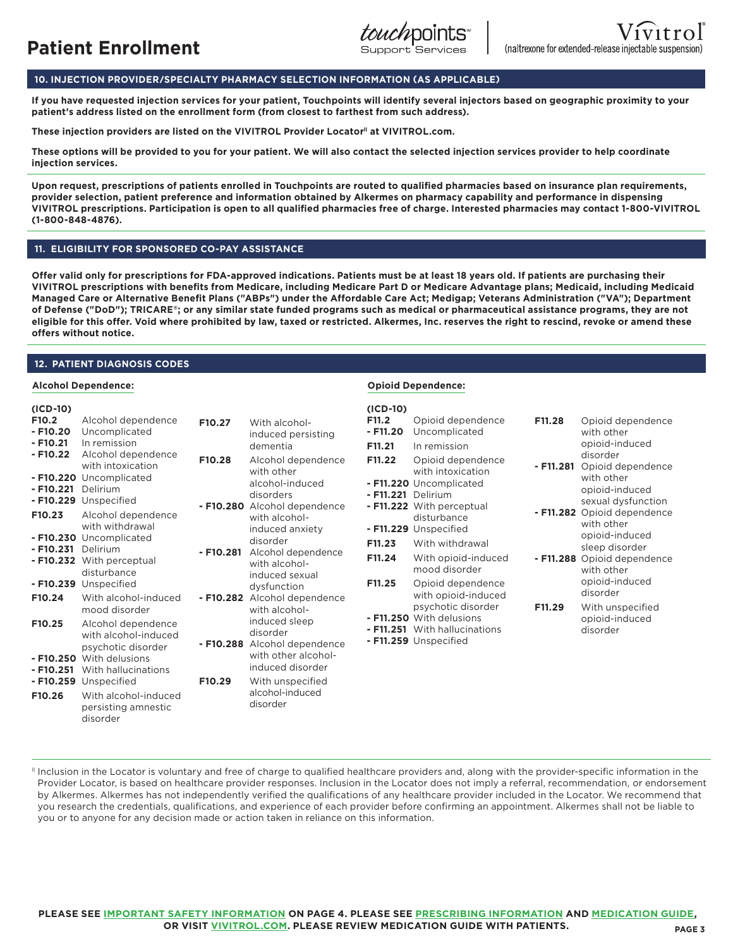# **10. INJECTION PROVIDER/SPECIALTY PHARMACY SELECTION INFORMATION (AS APPLICABLE)**

**If you have requested injection services for your patient, Touchpoints will identify several injectors based on geographic proximity to your patient's address listed on the enrollment form (from closest to farthest from such address).** 

These injection providers are listed on the VIVITROL Provider Locator<sup>11</sup> at VIVITROL.com.

**These options will be provided to you for your patient. We will also contact the selected injection services provider to help coordinate injection services.**

**Upon request, prescriptions of patients enrolled in Touchpoints are routed to qualified pharmacies based on insurance plan requirements, provider selection, patient preference and information obtained by Alkermes on pharmacy capability and performance in dispensing VIVITROL prescriptions. Participation is open to all qualified pharmacies free of charge. Interested pharmacies may contact 1-800-VIVITROL (1-800-848-4876).**

# **11. ELIGIBILITY FOR SPONSORED CO-PAY ASSISTANCE**

**Offer valid only for prescriptions for FDA-approved indications. Patients must be at least 18 years old. If patients are purchasing their VIVITROL prescriptions with benefits from Medicare, including Medicare Part D or Medicare Advantage plans; Medicaid, including Medicaid Managed Care or Alternative Benefit Plans ("ABPs") under the Affordable Care Act; Medigap; Veterans Administration ("VA"); Department of Defense ("DoD"); TRICARE®; or any similar state funded programs such as medical or pharmaceutical assistance programs, they are not eligible for this offer. Void where prohibited by law, taxed or restricted. Alkermes, Inc. reserves the right to rescind, revoke or amend these offers without notice.**

## **12. PATIENT DIAGNOSIS CODES**

#### **Alcohol Dependence: Opioid Dependence:**

| $(ICD-10)$<br>F <sub>10.2</sub><br>$- F10.20$<br>$- F10.21$<br>$- F10.22$<br>- F10.221 Delirium<br>F10.23<br>- F10.231 Delirium<br>F10.24<br>F10.25<br>$- F10.251$ | Alcohol dependence<br>Uncomplicated<br>In remission<br>Alcohol dependence<br>with intoxication<br>- F10.220 Uncomplicated<br>- F10.229 Unspecified<br>Alcohol dependence<br>with withdrawal<br>- F10.230 Uncomplicated<br>- F10.232 With perceptual<br>disturbance<br>- F10.239 Unspecified<br>With alcohol-induced<br>mood disorder<br>Alcohol dependence<br>with alcohol-induced<br>psychotic disorder<br>- F10.250 With delusions<br>With hallucinations<br>- F10.259 Unspecified | F10.27<br>F10.28<br>$- F10.281$<br>$- F10.288$<br>F10.29 | With alcohol-<br>induced persisting<br>dementia<br>Alcohol dependence<br>with other<br>alcohol-induced<br>disorders<br>- F10.280 Alcohol dependence<br>with alcohol-<br>induced anxiety<br>disorder<br>Alcohol dependence<br>with alcohol-<br>induced sexual<br>dysfunction<br>- F10.282 Alcohol dependence<br>with alcohol-<br>induced sleep<br>disorder<br>Alcohol dependence<br>with other alcohol-<br>induced disorder<br>With unspecified<br>alcohol-induced | $(ICD-10)$<br>F11.2<br>$- F11.20$<br>F11.21<br>F11.22<br>- F11.221 Delirium<br>F11.23<br>F11.24<br>F11.25 | Opioid dependence<br>Uncomplicated<br>In remission<br>Opioid dependence<br>with intoxication<br>- F11.220 Uncomplicated<br>- F11.222 With perceptual<br>disturbance<br>- F11.229 Unspecified<br>With withdrawal<br>With opioid-induced<br>mood disorder<br>Opioid dependence<br>with opioid-induced<br>psychotic disorder<br>- F11.250 With delusions<br>- F11.251 With hallucinations<br>- F11.259 Unspecified | F11.28<br>$-$ F11.281<br>F11.29 | Opioid dependence<br>with other<br>opioid-induced<br>disorder<br>Opioid dependence<br>with other<br>opioid-induced<br>sexual dysfunction<br>- F11.282 Opioid dependence<br>with other<br>opioid-induced<br>sleep disorder<br>- F11.288 Opioid dependence<br>with other<br>opioid-induced<br>disorder<br>With unspecified<br>opioid-induced<br>disorder |
|--------------------------------------------------------------------------------------------------------------------------------------------------------------------|--------------------------------------------------------------------------------------------------------------------------------------------------------------------------------------------------------------------------------------------------------------------------------------------------------------------------------------------------------------------------------------------------------------------------------------------------------------------------------------|----------------------------------------------------------|-------------------------------------------------------------------------------------------------------------------------------------------------------------------------------------------------------------------------------------------------------------------------------------------------------------------------------------------------------------------------------------------------------------------------------------------------------------------|-----------------------------------------------------------------------------------------------------------|-----------------------------------------------------------------------------------------------------------------------------------------------------------------------------------------------------------------------------------------------------------------------------------------------------------------------------------------------------------------------------------------------------------------|---------------------------------|--------------------------------------------------------------------------------------------------------------------------------------------------------------------------------------------------------------------------------------------------------------------------------------------------------------------------------------------------------|
| F10.26                                                                                                                                                             | With alcohol-induced<br>persisting amnestic<br>disorder                                                                                                                                                                                                                                                                                                                                                                                                                              |                                                          | disorder                                                                                                                                                                                                                                                                                                                                                                                                                                                          |                                                                                                           |                                                                                                                                                                                                                                                                                                                                                                                                                 |                                 |                                                                                                                                                                                                                                                                                                                                                        |

ll Inclusion in the Locator is voluntary and free of charge to qualified healthcare providers and, along with the provider-specific information in the Provider Locator, is based on healthcare provider responses. Inclusion in the Locator does not imply a referral, recommendation, or endorsement by Alkermes. Alkermes has not independently verified the qualifications of any healthcare provider included in the Locator. We recommend that you research the credentials, qualifications, and experience of each provider before confirming an appointment. Alkermes shall not be liable to you or to anyone for any decision made or action taken in reliance on this information.